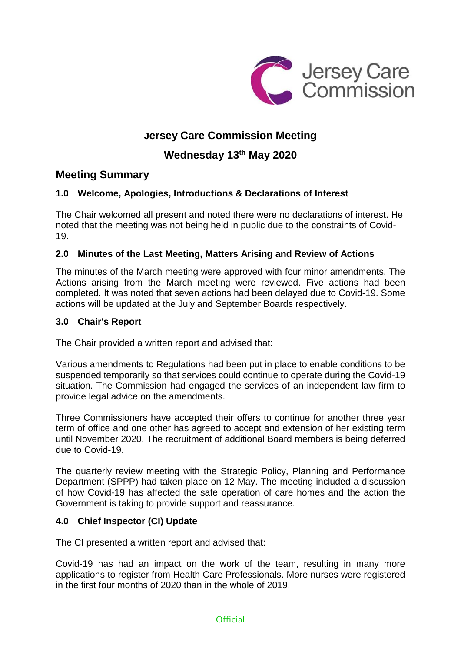

# **Jersey Care Commission Meeting**

## **Wednesday 13th May 2020**

### **Meeting Summary**

### **1.0 Welcome, Apologies, Introductions & Declarations of Interest**

The Chair welcomed all present and noted there were no declarations of interest. He noted that the meeting was not being held in public due to the constraints of Covid-19.

### **2.0 Minutes of the Last Meeting, Matters Arising and Review of Actions**

The minutes of the March meeting were approved with four minor amendments. The Actions arising from the March meeting were reviewed. Five actions had been completed. It was noted that seven actions had been delayed due to Covid-19. Some actions will be updated at the July and September Boards respectively.

#### **3.0 Chair's Report**

The Chair provided a written report and advised that:

Various amendments to Regulations had been put in place to enable conditions to be suspended temporarily so that services could continue to operate during the Covid-19 situation. The Commission had engaged the services of an independent law firm to provide legal advice on the amendments.

Three Commissioners have accepted their offers to continue for another three year term of office and one other has agreed to accept and extension of her existing term until November 2020. The recruitment of additional Board members is being deferred due to Covid-19.

The quarterly review meeting with the Strategic Policy, Planning and Performance Department (SPPP) had taken place on 12 May. The meeting included a discussion of how Covid-19 has affected the safe operation of care homes and the action the Government is taking to provide support and reassurance.

### **4.0 Chief Inspector (CI) Update**

The CI presented a written report and advised that:

Covid-19 has had an impact on the work of the team, resulting in many more applications to register from Health Care Professionals. More nurses were registered in the first four months of 2020 than in the whole of 2019.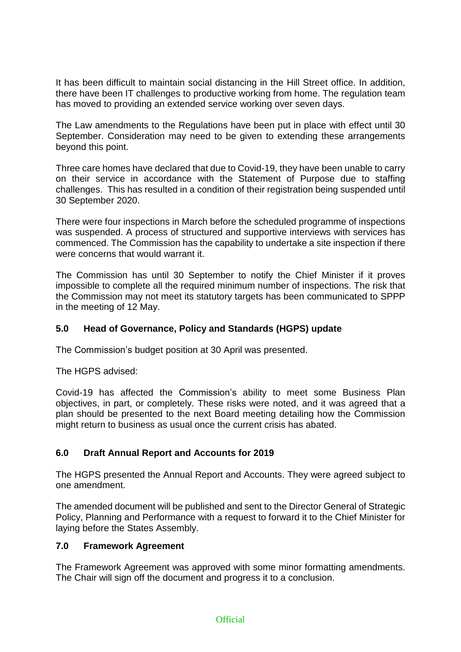It has been difficult to maintain social distancing in the Hill Street office. In addition, there have been IT challenges to productive working from home. The regulation team has moved to providing an extended service working over seven days.

The Law amendments to the Regulations have been put in place with effect until 30 September. Consideration may need to be given to extending these arrangements beyond this point.

Three care homes have declared that due to Covid-19, they have been unable to carry on their service in accordance with the Statement of Purpose due to staffing challenges. This has resulted in a condition of their registration being suspended until 30 September 2020.

There were four inspections in March before the scheduled programme of inspections was suspended. A process of structured and supportive interviews with services has commenced. The Commission has the capability to undertake a site inspection if there were concerns that would warrant it.

The Commission has until 30 September to notify the Chief Minister if it proves impossible to complete all the required minimum number of inspections. The risk that the Commission may not meet its statutory targets has been communicated to SPPP in the meeting of 12 May.

### **5.0 Head of Governance, Policy and Standards (HGPS) update**

The Commission's budget position at 30 April was presented.

The HGPS advised:

Covid-19 has affected the Commission's ability to meet some Business Plan objectives, in part, or completely. These risks were noted, and it was agreed that a plan should be presented to the next Board meeting detailing how the Commission might return to business as usual once the current crisis has abated.

### **6.0 Draft Annual Report and Accounts for 2019**

The HGPS presented the Annual Report and Accounts. They were agreed subject to one amendment.

The amended document will be published and sent to the Director General of Strategic Policy, Planning and Performance with a request to forward it to the Chief Minister for laying before the States Assembly.

#### **7.0 Framework Agreement**

The Framework Agreement was approved with some minor formatting amendments. The Chair will sign off the document and progress it to a conclusion.